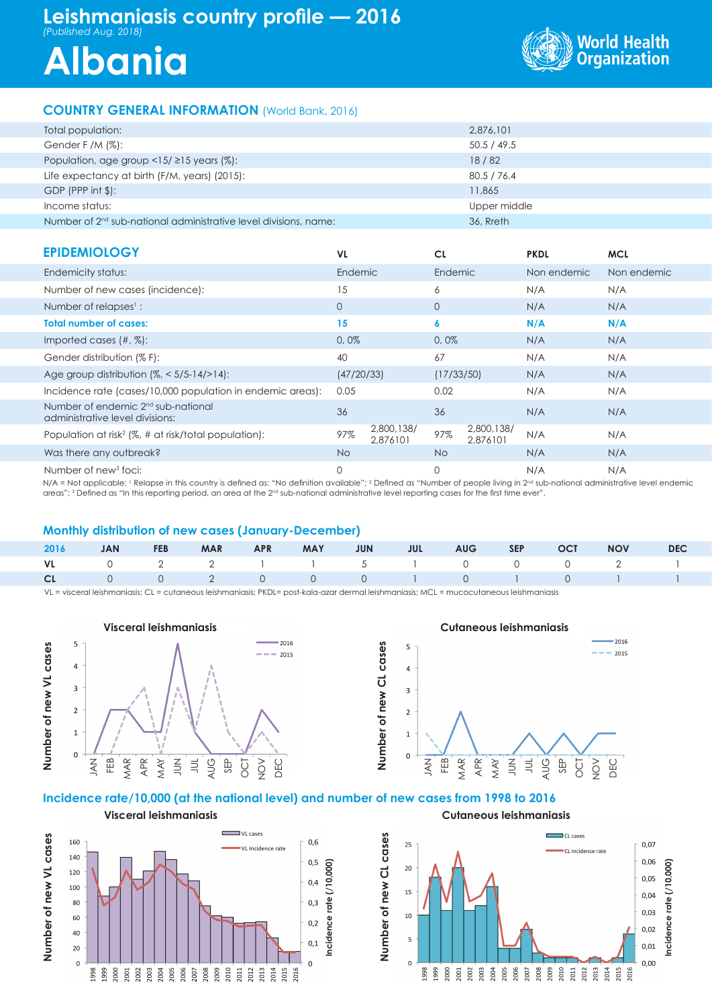# **Leishmaniasis country profile — 2016** *(Published Aug. 2018)*

# **Albania**



# **COUNTRY GENERAL INFORMATION** (World Bank, 2016)

| Total population:                                                            | 2,876,101    |
|------------------------------------------------------------------------------|--------------|
| Gender F /M $(\%)$ :                                                         | 50.5 / 49.5  |
| Population, age group $\langle 15/215 \rangle$ years (%):                    | 18/82        |
| Life expectancy at birth (F/M, years) (2015):                                | 80.5 / 76.4  |
| $GDP$ (PPP int $$$ ):                                                        | 11,865       |
| Income status:                                                               | Upper middle |
| Number of 2 <sup>nd</sup> sub-national administrative level divisions, name: | 36, Rreth    |

| <b>EPIDEMIOLOGY</b>                                                               | VL.            |                        | <b>CL</b>   |                        | <b>PKDL</b> | <b>MCL</b>  |
|-----------------------------------------------------------------------------------|----------------|------------------------|-------------|------------------------|-------------|-------------|
| Endemicity status:                                                                | <b>Endemic</b> |                        | Endemic     |                        | Non endemic | Non endemic |
| Number of new cases (incidence):                                                  | 15             |                        | 6           |                        | N/A         | N/A         |
| Number of relapses <sup>1</sup> :                                                 | $\mathbf{O}$   |                        | $\circ$     |                        | N/A         | N/A         |
| <b>Total number of cases:</b>                                                     | 15             |                        | 6           |                        | N/A         | N/A         |
| Imported cases $(\#,\%)$ :                                                        | 0,0%           |                        | 0,0%        |                        | N/A         | N/A         |
| Gender distribution (% F):                                                        | 40             |                        | 67          |                        | N/A         | N/A         |
| Age group distribution $\frac{1}{6}$ < 5/5-14/>14):                               | (47/20/33)     |                        | (17/33/50)  |                        | N/A         | N/A         |
| Incidence rate (cases/10,000 population in endemic areas):                        | 0.05           |                        | 0.02        |                        | N/A         | N/A         |
| Number of endemic 2 <sup>nd</sup> sub-national<br>administrative level divisions: | 36             |                        | 36          |                        | N/A         | N/A         |
| Population at risk <sup>2</sup> ( $\%$ , # at risk/total population):             | 97%            | 2,800,138/<br>2,876101 | 97%         | 2,800,138/<br>2,876101 | N/A         | N/A         |
| Was there any outbreak?                                                           | No.            |                        | No.         |                        | N/A         | N/A         |
| Number of new <sup>3</sup> foci:                                                  | 0              |                        | $\mathbf 0$ |                        | N/A         | N/A         |

N/A = Not applicable; I Relapse in this country is defined as: "No definition available"; <sup>2</sup> Defined as "Number of people living in 2<sup>nd</sup> sub-national administrative level endemic areas"; <sup>3</sup> Defined as "In this reporting period, an area at the 2<sup>nd</sup> sub-national administrative level reporting cases for the first time ever".

# **Monthly distribution of new cases (January-December)**

|  |  |  |  |  | 2016 JAN FEB MAR APR MAY JUN JUL AUG SEP OCT NOV DEC |  |
|--|--|--|--|--|------------------------------------------------------|--|
|  |  |  |  |  | VL 0 2 2 1 1 5 1 0 0 0 2 1                           |  |
|  |  |  |  |  | CL 0 0 2 0 0 0 1 0 1 0 1 1                           |  |

VL = visceral leishmaniasis; CL = cutaneous leishmaniasis; PKDL= post-kala-azar dermal leishmaniasis; MCL = mucocutaneous leishmaniasis



#### **Cutaneous leishmaniasis**



### **Incidence rate/10,000 (at the national level) and number of new cases from 1998 to 2016**